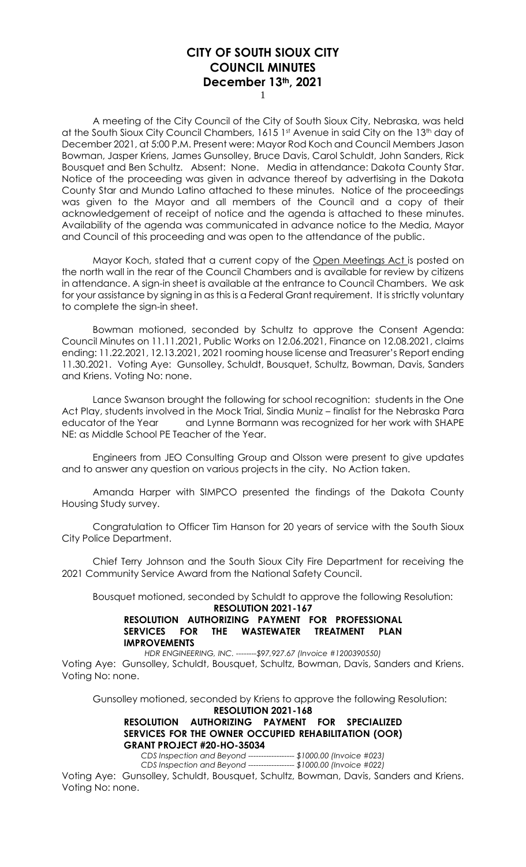1

A meeting of the City Council of the City of South Sioux City, Nebraska, was held at the South Sioux City Council Chambers, 1615 1st Avenue in said City on the 13<sup>th</sup> day of December 2021, at 5:00 P.M. Present were: Mayor Rod Koch and Council Members Jason Bowman, Jasper Kriens, James Gunsolley, Bruce Davis, Carol Schuldt, John Sanders, Rick Bousquet and Ben Schultz. Absent: None. Media in attendance: Dakota County Star. Notice of the proceeding was given in advance thereof by advertising in the Dakota County Star and Mundo Latino attached to these minutes. Notice of the proceedings was given to the Mayor and all members of the Council and a copy of their acknowledgement of receipt of notice and the agenda is attached to these minutes. Availability of the agenda was communicated in advance notice to the Media, Mayor and Council of this proceeding and was open to the attendance of the public.

Mayor Koch, stated that a current copy of the Open Meetings Act is posted on the north wall in the rear of the Council Chambers and is available for review by citizens in attendance. A sign-in sheet is available at the entrance to Council Chambers. We ask for your assistance by signing in as this is a Federal Grant requirement. It is strictly voluntary to complete the sign-in sheet.

Bowman motioned, seconded by Schultz to approve the Consent Agenda: Council Minutes on 11.11.2021, Public Works on 12.06.2021, Finance on 12.08.2021, claims ending: 11.22.2021, 12.13.2021, 2021 rooming house license and Treasurer's Report ending 11.30.2021. Voting Aye: Gunsolley, Schuldt, Bousquet, Schultz, Bowman, Davis, Sanders and Kriens. Voting No: none.

Lance Swanson brought the following for school recognition: students in the One Act Play, students involved in the Mock Trial, Sindia Muniz – finalist for the Nebraska Para educator of the Year and Lynne Bormann was recognized for her work with SHAPE NE: as Middle School PE Teacher of the Year.

Engineers from JEO Consulting Group and Olsson were present to give updates and to answer any question on various projects in the city. No Action taken.

Amanda Harper with SIMPCO presented the findings of the Dakota County Housing Study survey.

Congratulation to Officer Tim Hanson for 20 years of service with the South Sioux City Police Department.

Chief Terry Johnson and the South Sioux City Fire Department for receiving the 2021 Community Service Award from the National Safety Council.

Bousquet motioned, seconded by Schuldt to approve the following Resolution:

#### **RESOLUTION 2021-167 RESOLUTION AUTHORIZING PAYMENT FOR PROFESSIONAL SERVICES FOR THE WASTEWATER TREATMENT PLAN IMPROVEMENTS**

*HDR ENGINEERING, INC. --------\$97,927.67 (Invoice #1200390550)*

Voting Aye: Gunsolley, Schuldt, Bousquet, Schultz, Bowman, Davis, Sanders and Kriens. Voting No: none.

Gunsolley motioned, seconded by Kriens to approve the following Resolution:

**RESOLUTION 2021-168 RESOLUTION AUTHORIZING PAYMENT FOR SPECIALIZED SERVICES FOR THE OWNER OCCUPIED REHABILITATION (OOR) GRANT PROJECT #20-HO-35034**

*CDS Inspection and Beyond ------------------ \$1000.00 (Invoice #023) CDS Inspection and Beyond ------------------ \$1000.00 (Invoice #022)*

Voting Aye: Gunsolley, Schuldt, Bousquet, Schultz, Bowman, Davis, Sanders and Kriens. Voting No: none.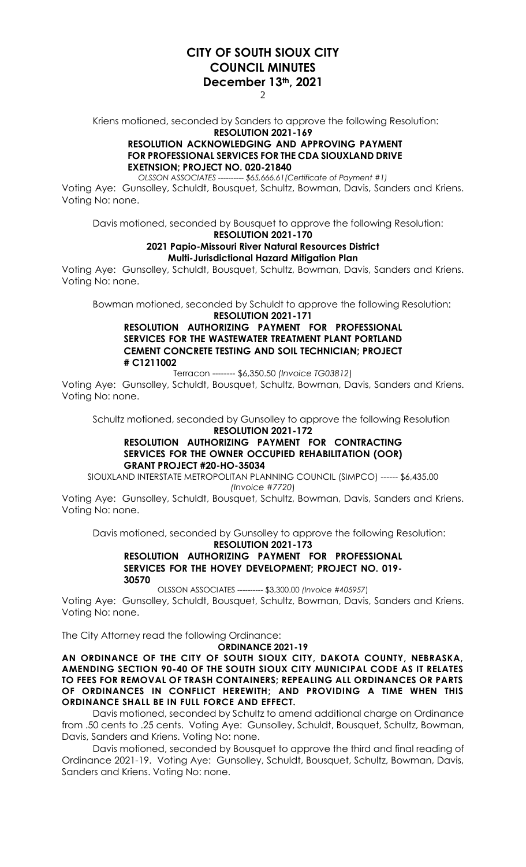2

Kriens motioned, seconded by Sanders to approve the following Resolution: **RESOLUTION 2021-169**

## **RESOLUTION ACKNOWLEDGING AND APPROVING PAYMENT FOR PROFESSIONAL SERVICES FOR THE CDA SIOUXLAND DRIVE EXETNSION; PROJECT NO. 020-21840**

*OLSSON ASSOCIATES ---------- \$65,666.61(Certificate of Payment #1)*

Voting Aye: Gunsolley, Schuldt, Bousquet, Schultz, Bowman, Davis, Sanders and Kriens. Voting No: none.

Davis motioned, seconded by Bousquet to approve the following Resolution: **RESOLUTION 2021-170**

### **2021 Papio-Missouri River Natural Resources District Multi-Jurisdictional Hazard Mitigation Plan**

Voting Aye: Gunsolley, Schuldt, Bousquet, Schultz, Bowman, Davis, Sanders and Kriens. Voting No: none.

Bowman motioned, seconded by Schuldt to approve the following Resolution:

**RESOLUTION 2021-171 RESOLUTION AUTHORIZING PAYMENT FOR PROFESSIONAL SERVICES FOR THE WASTEWATER TREATMENT PLANT PORTLAND CEMENT CONCRETE TESTING AND SOIL TECHNICIAN; PROJECT** 

## **# C1211002**

Terracon -------- \$6,350.50 *(Invoice TG03812*)

Voting Aye: Gunsolley, Schuldt, Bousquet, Schultz, Bowman, Davis, Sanders and Kriens. Voting No: none.

Schultz motioned, seconded by Gunsolley to approve the following Resolution

#### **RESOLUTION 2021-172 RESOLUTION AUTHORIZING PAYMENT FOR CONTRACTING SERVICES FOR THE OWNER OCCUPIED REHABILITATION (OOR) GRANT PROJECT #20-HO-35034**

SIOUXLAND INTERSTATE METROPOLITAN PLANNING COUNCIL (SIMPCO) ------ \$6,435.00 *(Invoice #7720*)

Voting Aye: Gunsolley, Schuldt, Bousquet, Schultz, Bowman, Davis, Sanders and Kriens. Voting No: none.

Davis motioned, seconded by Gunsolley to approve the following Resolution:

#### **RESOLUTION 2021-173**

#### **RESOLUTION AUTHORIZING PAYMENT FOR PROFESSIONAL SERVICES FOR THE HOVEY DEVELOPMENT; PROJECT NO. 019- 30570**

OLSSON ASSOCIATES ---------- \$3,300.00 *(Invoice #405957*)

Voting Aye: Gunsolley, Schuldt, Bousquet, Schultz, Bowman, Davis, Sanders and Kriens. Voting No: none.

The City Attorney read the following Ordinance:

**ORDINANCE 2021-19**

**AN ORDINANCE OF THE CITY OF SOUTH SIOUX CITY, DAKOTA COUNTY, NEBRASKA, AMENDING SECTION 90-40 OF THE SOUTH SIOUX CITY MUNICIPAL CODE AS IT RELATES TO FEES FOR REMOVAL OF TRASH CONTAINERS; REPEALING ALL ORDINANCES OR PARTS OF ORDINANCES IN CONFLICT HEREWITH; AND PROVIDING A TIME WHEN THIS ORDINANCE SHALL BE IN FULL FORCE AND EFFECT.** 

Davis motioned, seconded by Schultz to amend additional charge on Ordinance from .50 cents to .25 cents. Voting Aye: Gunsolley, Schuldt, Bousquet, Schultz, Bowman, Davis, Sanders and Kriens. Voting No: none.

Davis motioned, seconded by Bousquet to approve the third and final reading of Ordinance 2021-19. Voting Aye: Gunsolley, Schuldt, Bousquet, Schultz, Bowman, Davis, Sanders and Kriens. Voting No: none.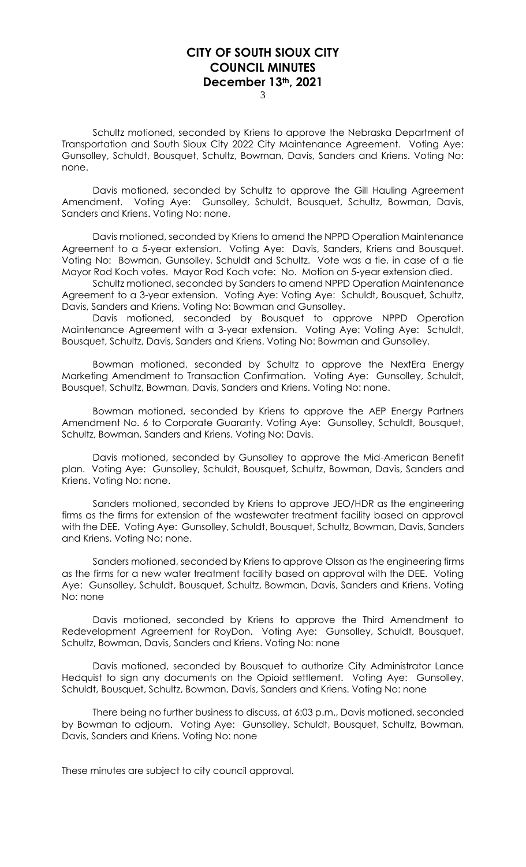3

Schultz motioned, seconded by Kriens to approve the Nebraska Department of Transportation and South Sioux City 2022 City Maintenance Agreement. Voting Aye: Gunsolley, Schuldt, Bousquet, Schultz, Bowman, Davis, Sanders and Kriens. Voting No: none.

Davis motioned, seconded by Schultz to approve the Gill Hauling Agreement Amendment. Voting Aye: Gunsolley, Schuldt, Bousquet, Schultz, Bowman, Davis, Sanders and Kriens. Voting No: none.

Davis motioned, seconded by Kriens to amend the NPPD Operation Maintenance Agreement to a 5-year extension. Voting Aye: Davis, Sanders, Kriens and Bousquet. Voting No: Bowman, Gunsolley, Schuldt and Schultz. Vote was a tie, in case of a tie Mayor Rod Koch votes. Mayor Rod Koch vote: No. Motion on 5-year extension died.

Schultz motioned, seconded by Sanders to amend NPPD Operation Maintenance Agreement to a 3-year extension. Voting Aye: Voting Aye: Schuldt, Bousquet, Schultz, Davis, Sanders and Kriens. Voting No: Bowman and Gunsolley.

Davis motioned, seconded by Bousquet to approve NPPD Operation Maintenance Agreement with a 3-year extension. Voting Aye: Voting Aye: Schuldt, Bousquet, Schultz, Davis, Sanders and Kriens. Voting No: Bowman and Gunsolley.

Bowman motioned, seconded by Schultz to approve the NextEra Energy Marketing Amendment to Transaction Confirmation. Voting Aye: Gunsolley, Schuldt, Bousquet, Schultz, Bowman, Davis, Sanders and Kriens. Voting No: none.

Bowman motioned, seconded by Kriens to approve the AEP Energy Partners Amendment No. 6 to Corporate Guaranty. Voting Aye: Gunsolley, Schuldt, Bousquet, Schultz, Bowman, Sanders and Kriens. Voting No: Davis.

Davis motioned, seconded by Gunsolley to approve the Mid-American Benefit plan. Voting Aye: Gunsolley, Schuldt, Bousquet, Schultz, Bowman, Davis, Sanders and Kriens. Voting No: none.

Sanders motioned, seconded by Kriens to approve JEO/HDR as the engineering firms as the firms for extension of the wastewater treatment facility based on approval with the DEE. Voting Aye: Gunsolley, Schuldt, Bousquet, Schultz, Bowman, Davis, Sanders and Kriens. Voting No: none.

Sanders motioned, seconded by Kriens to approve Olsson as the engineering firms as the firms for a new water treatment facility based on approval with the DEE. Voting Aye: Gunsolley, Schuldt, Bousquet, Schultz, Bowman, Davis, Sanders and Kriens. Voting No: none

Davis motioned, seconded by Kriens to approve the Third Amendment to Redevelopment Agreement for RoyDon. Voting Aye: Gunsolley, Schuldt, Bousquet, Schultz, Bowman, Davis, Sanders and Kriens. Voting No: none

Davis motioned, seconded by Bousquet to authorize City Administrator Lance Hedquist to sign any documents on the Opioid settlement. Voting Aye: Gunsolley, Schuldt, Bousquet, Schultz, Bowman, Davis, Sanders and Kriens. Voting No: none

There being no further business to discuss, at 6:03 p.m., Davis motioned, seconded by Bowman to adjourn. Voting Aye: Gunsolley, Schuldt, Bousquet, Schultz, Bowman, Davis, Sanders and Kriens. Voting No: none

These minutes are subject to city council approval.